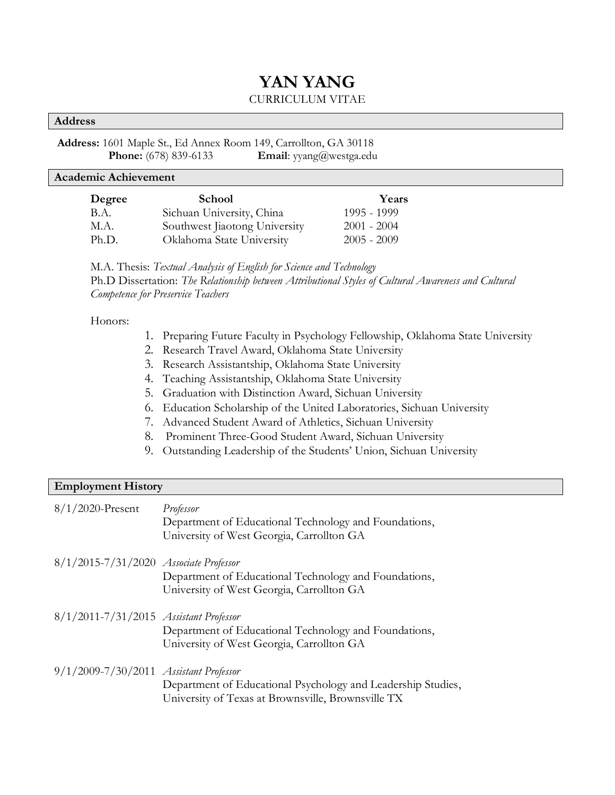# **YAN YANG** CURRICULUM VITAE

#### **Address**

### **Address:** 1601 Maple St., Ed Annex Room 149, Carrollton, GA 30118 **Phone:** (678) 839-6133 **Email**: yyang@westga.edu

#### **Academic Achievement**

| Degree | <b>School</b>                 | Years         |
|--------|-------------------------------|---------------|
| B.A.   | Sichuan University, China     | 1995 - 1999   |
| M.A.   | Southwest Jiaotong University | $2001 - 2004$ |
| Ph.D.  | Oklahoma State University     | $2005 - 2009$ |

M.A. Thesis: *Textual Analysis of English for Science and Technology* Ph.D Dissertation: *The Relationship between Attributional Styles of Cultural Awareness and Cultural Competence for Preservice Teachers*

#### Honors:

- 1. Preparing Future Faculty in Psychology Fellowship, Oklahoma State University
- 2. Research Travel Award, Oklahoma State University
- 3. Research Assistantship, Oklahoma State University
- 4. Teaching Assistantship, Oklahoma State University
- 5. Graduation with Distinction Award, Sichuan University
- 6. Education Scholarship of the United Laboratories, Sichuan University
- 7. Advanced Student Award of Athletics, Sichuan University
- 8. Prominent Three-Good Student Award, Sichuan University
- 9. Outstanding Leadership of the Students' Union, Sichuan University

| <b>Employment History</b>              |                                                                                                                    |  |
|----------------------------------------|--------------------------------------------------------------------------------------------------------------------|--|
| $8/1/2020$ -Present                    | Professor<br>Department of Educational Technology and Foundations,<br>University of West Georgia, Carrollton GA    |  |
| 8/1/2015-7/31/2020 Associate Professor | Department of Educational Technology and Foundations,<br>University of West Georgia, Carrollton GA                 |  |
| 8/1/2011-7/31/2015 Assistant Professor | Department of Educational Technology and Foundations,<br>University of West Georgia, Carrollton GA                 |  |
| 9/1/2009-7/30/2011 Assistant Professor | Department of Educational Psychology and Leadership Studies,<br>University of Texas at Brownsville, Brownsville TX |  |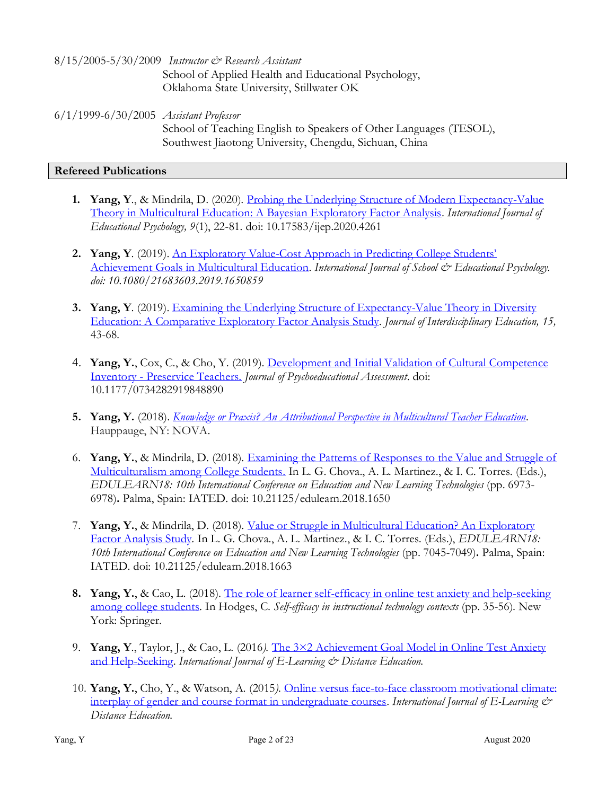8/15/2005-5/30/2009 *Instructor & Research Assistant*  School of Applied Health and Educational Psychology, Oklahoma State University, Stillwater OK

6/1/1999-6/30/2005 *Assistant Professor* School of Teaching English to Speakers of Other Languages (TESOL), Southwest Jiaotong University, Chengdu, Sichuan, China

#### **Refereed Publications**

- **1. Yang, Y**., & Mindrila, D. (2020). [Probing the Underlying Structure of Modern Expectancy-Value](https://files.eric.ed.gov/fulltext/EJ1246535.pdf)  [Theory in Multicultural Education: A Bayesian Exploratory Factor Analysis.](https://files.eric.ed.gov/fulltext/EJ1246535.pdf) *International Journal of Educational Psychology, 9*(1), 22-81*.* doi: 10.17583/ijep.2020.4261
- **2. Yang, Y**. (2019). An Exploratory Value-[Cost Approach in Predicting College Students'](https://www.tandfonline.com/doi/abs/10.1080/21683603.2019.1650859?journalCode=usep20)  [Achievement Goals in Multicultural Education.](https://www.tandfonline.com/doi/abs/10.1080/21683603.2019.1650859?journalCode=usep20) *International Journal of School & Educational Psychology. doi: 10.1080/21683603.2019.1650859*
- **3. Yang, Y**. (2019). [Examining the Underlying Structure of Expectancy-Value Theory in Diversity](https://wccinacjie.files.wordpress.com/2019/06/examining-the-underlying-structure-of-expectancy-value-theory-in-diversity-education_20192_final.pdf)  [Education: A Comparative Exploratory Factor Analysis Study.](https://wccinacjie.files.wordpress.com/2019/06/examining-the-underlying-structure-of-expectancy-value-theory-in-diversity-education_20192_final.pdf) *Journal of Interdisciplinary Education, 15,*  43-68*.*
- 4. **Yang, Y.**, Cox, C., & Cho, Y. (2019). [Development and Initial Validation of Cultural Competence](https://doi.org/10.1177/0734282919848890)  Inventory - [Preservice Teachers.](https://doi.org/10.1177/0734282919848890) *Journal of Psychoeducational Assessment*. doi: 10.1177/0734282919848890
- **5. Yang, Y.** (2018). *[Knowledge or Praxis? An Attributional Perspective in Multicultural Teacher Education.](https://novapublishers.com/shop/knowledge-or-praxis-an-attributional-perspective-in-multicultural-teacher-education/)* Hauppauge, NY: NOVA.
- 6. **Yang, Y.**, & Mindrila, D. (2018). [Examining the Patterns of Responses to the Value and Struggle of](https://library.iated.org/view/YANG2018EXA)  [Multiculturalism among College Students.](https://library.iated.org/view/YANG2018EXA) In L. G. Chova., A. L. Martinez., & I. C. Torres. (Eds.), *EDULEARN18: 10th International Conference on Education and New Learning Technologies* (pp. 6973- 6978)**.** Palma, Spain: IATED. doi: 10.21125/edulearn.2018.1650
- 7. **Yang, Y.**, & Mindrila, D. (2018). [Value or Struggle in Multicultural Education? An Exploratory](https://library.iated.org/view/YANG2018VAL)  [Factor Analysis Study.](https://library.iated.org/view/YANG2018VAL) In L. G. Chova., A. L. Martinez., & I. C. Torres. (Eds.), *EDULEARN18: 10th International Conference on Education and New Learning Technologies* (pp. 7045-7049)**.** Palma, Spain: IATED. doi: 10.21125/edulearn.2018.1663
- **8. Yang, Y.**, & Cao, L. (2018). [The role of learner self-efficacy in online test anxiety and help-seeking](https://books.google.com/books?id=9M10DwAAQBAJ&pg=PR11&lpg=PR11&dq=%22The+role+of+learner+self-efficacy+in+online+test+anxiety+and+help-seeking+among+college+students%22&source=bl&ots=DKMTqEuq7q&sig=ACfU3U2MUlQCCHm3zuFIo4jhRhsyRaoCIg&hl=en&sa=X&ved=2ahUKEwjRpMPppLLjAhUObc0KHesQBVQQ6AEwA3oECAkQAQ#v=onepage&q=%22The%20role%20of%20learner%20self-efficacy%20in%20online%20test%20anxiety%20and%20help-seeking%20among%20college%20students%22&f=false)  [among college students.](https://books.google.com/books?id=9M10DwAAQBAJ&pg=PR11&lpg=PR11&dq=%22The+role+of+learner+self-efficacy+in+online+test+anxiety+and+help-seeking+among+college+students%22&source=bl&ots=DKMTqEuq7q&sig=ACfU3U2MUlQCCHm3zuFIo4jhRhsyRaoCIg&hl=en&sa=X&ved=2ahUKEwjRpMPppLLjAhUObc0KHesQBVQQ6AEwA3oECAkQAQ#v=onepage&q=%22The%20role%20of%20learner%20self-efficacy%20in%20online%20test%20anxiety%20and%20help-seeking%20among%20college%20students%22&f=false) In Hodges, C. *Self-efficacy in instructional technology contexts* (pp. 35-56). New York: Springer.
- 9. **Yang, Y**., Taylor, J., & Cao, L. (2016*).* [The 3×2 Achievement Goal Model in Online Test Anxiety](http://www.ijede.ca/index.php/jde/article/view/914/1628)  [and Help-Seeking.](http://www.ijede.ca/index.php/jde/article/view/914/1628) *International Journal of E-Learning & Distance Education.*
- 10. **Yang, Y.**, Cho, Y., & Watson, A. (2015*).* [Online versus face-to-face classroom motivational climate:](http://www.ijede.ca/index.php/jde/article/view/890)  [interplay of gender and course format in undergraduate courses.](http://www.ijede.ca/index.php/jde/article/view/890) *International Journal of E-Learning & Distance Education.*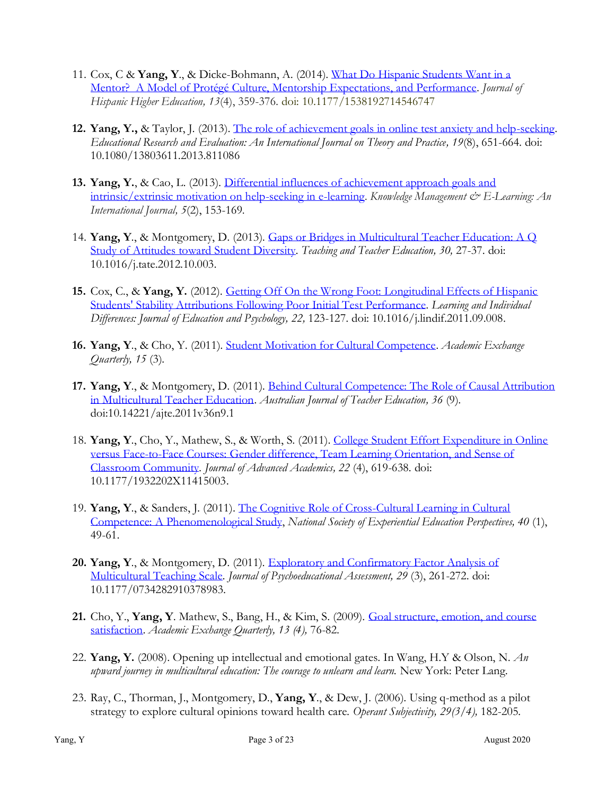- 11. Cox, C & **Yang, Y**., & Dicke-Bohmann, A. (2014). [What Do Hispanic Students Want in a](http://jhh.sagepub.com/content/13/4/359.short)  [Mentor? A Model of Protégé Culture, Mentorship Expectations, and Performance.](http://jhh.sagepub.com/content/13/4/359.short) *Journal of Hispanic Higher Education, 13*(4), 359-376. doi: 10.1177/1538192714546747
- **12. Yang, Y.,** & Taylor, J. (2013). [The role of achievement goals in online test anxiety and help-seeking.](http://www.tandfonline.com/doi/abs/10.1080/13803611.2013.811086#.Upz0rsSsh8E) *Educational Research and Evaluation: An International Journal on Theory and Practice, 19*(8), 651-664. doi: 10.1080/13803611.2013.811086
- **13. Yang, Y.**, & Cao, L. (2013). [Differential influences of achievement approach goals and](http://www.kmel-journal.org/ojs/index.php/online-publication/article/viewArticle/212)  [intrinsic/extrinsic motivation on help-seeking in e-learning.](http://www.kmel-journal.org/ojs/index.php/online-publication/article/viewArticle/212) *Knowledge Management & E-Learning: An International Journal, 5*(2), 153-169*.*
- 14. **Yang, Y**., & Montgomery, D. (2013). [Gaps or Bridges in Multicultural Teacher Education: A Q](http://dx.doi.org/10.1016/j.tate.2012.10.003)  [Study of Attitudes toward Student Diversity.](http://dx.doi.org/10.1016/j.tate.2012.10.003) *Teaching and Teacher Education, 30,* 27-37. doi: 10.1016/j.tate.2012.10.003.
- **15.** Cox, C., & **Yang, Y.** (2012). [Getting Off On the Wrong Foot: Longitudinal Effects of Hispanic](http://www.sciencedirect.com/science/article/pii/S1041608011001166)  [Students' Stability Attributions Following Poor Initial Test Performance.](http://www.sciencedirect.com/science/article/pii/S1041608011001166) *Learning and Individual Differences: Journal of Education and Psychology, 22,* 123-127. doi: 10.1016/j.lindif.2011.09.008.
- **16. Yang, Y**., & Cho, Y. (2011). [Student Motivation for Cultural Competence.](http://rapidintellect.com/AEQweb/fal2011.htm) *Academic Exchange Quarterly, 15* (3)*.*
- **17. Yang, Y**., & Montgomery, D. (2011). [Behind Cultural Competence: The Role of Causal Attribution](http://ro.ecu.edu.au/ajte/vol36/iss9/1/)  [in Multicultural Teacher Education.](http://ro.ecu.edu.au/ajte/vol36/iss9/1/) *Australian Journal of Teacher Education, 36* (9). doi:10.14221/ajte.2011v36n9.1
- 18. **Yang, Y**., Cho, Y., Mathew, S., & Worth, S. (2011). [College Student Effort Expenditure in Online](http://joa.sagepub.com/content/22/4/619.short)  versus [Face-to-Face Courses: Gender difference, Team Learning Orientation, and Sense of](http://joa.sagepub.com/content/22/4/619.short)  [Classroom Community.](http://joa.sagepub.com/content/22/4/619.short) *Journal of Advanced Academics, 22* (4), 619-638*.* doi: 10.1177/1932202X11415003.
- 19. **Yang, Y**., & Sanders, J. (2011). [The Cognitive Role of Cross-Cultural Learning in Cultural](http://www.novagraphicservices.com/nsee/yang.html)  [Competence: A Phenomenological Study,](http://www.novagraphicservices.com/nsee/yang.html) *National Society of Experiential Education Perspectives, 40* (1), 49-61.
- **20. Yang, Y**., & Montgomery, D. (2011). [Exploratory and Confirmatory Factor Analysis of](http://jpa.sagepub.com/content/29/3/261.abstract)  [Multicultural Teaching Scale.](http://jpa.sagepub.com/content/29/3/261.abstract) *Journal of Psychoeducational Assessment, 29* (3), 261-272. doi: 10.1177/0734282910378983.
- **21.** Cho, Y., **Yang, Y**. Mathew, S., Bang, H., & Kim, S. (2009). [Goal structure, emotion, and course](http://www.rapidintellect.com/AEQweb/win2009.htm)  [satisfaction.](http://www.rapidintellect.com/AEQweb/win2009.htm) *Academic Exchange Quarterly, 13 (4),* 76-82.
- 22. **Yang, Y.** (2008). Opening up intellectual and emotional gates. In Wang, H.Y & Olson, N. *An upward journey in multicultural education: The courage to unlearn and learn.* New York: Peter Lang.
- 23. Ray, C., Thorman, J., Montgomery, D., **Yang, Y**., & Dew, J. (2006). Using q-method as a pilot strategy to explore cultural opinions toward health care. *Operant Subjectivity, 29(3/4),* 182-205*.*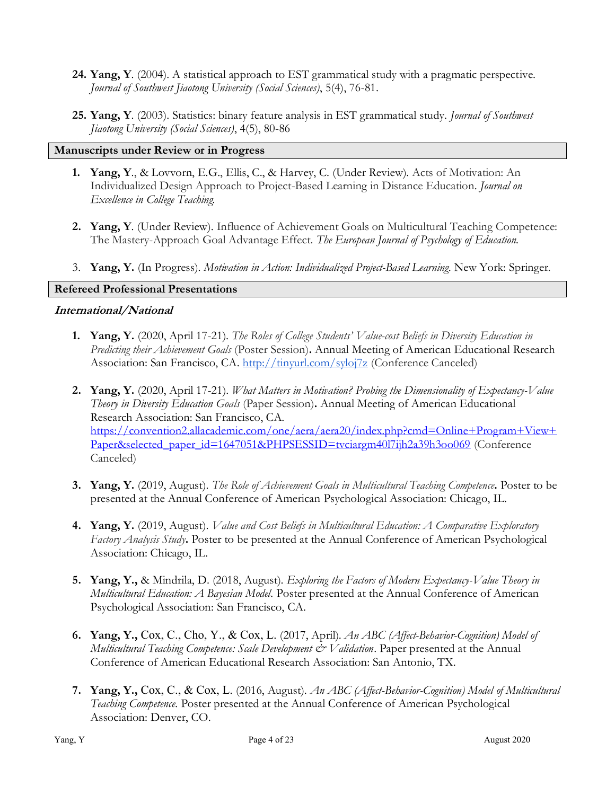- **24. Yang, Y**. (2004). A statistical approach to EST grammatical study with a pragmatic perspective. *Journal of Southwest Jiaotong University (Social Sciences)*, 5(4), 76-81.
- **25. Yang, Y**. (2003). Statistics: binary feature analysis in EST grammatical study. *Journal of Southwest Jiaotong University (Social Sciences)*, 4(5), 80-86

#### **Manuscripts under Review or in Progress**

- **1. Yang, Y**., & Lovvorn, E.G., Ellis, C., & Harvey, C. (Under Review). Acts of Motivation: An Individualized Design Approach to Project-Based Learning in Distance Education. *Journal on Excellence in College Teaching.*
- **2. Yang, Y**. (Under Review). Influence of Achievement Goals on Multicultural Teaching Competence: The Mastery-Approach Goal Advantage Effect. *The European Journal of Psychology of Education.*
- 3. **Yang, Y.** (In Progress). *Motivation in Action: Individualized Project-Based Learning*. New York: Springer*.*

# **Refereed Professional Presentations**

### **International/National**

- **1. Yang, Y.** (2020, April 17-21). *The Roles of College Students' Value-cost Beliefs in Diversity Education in Predicting their Achievement Goals* (Poster Session)**.** Annual Meeting of American Educational Research Association: San Francisco, CA.<http://tinyurl.com/syloj7z> (Conference Canceled)
- **2. Yang, Y.** (2020, April 17-21). *What Matters in Motivation? Probing the Dimensionality of Expectancy-Value Theory in Diversity Education Goals* (Paper Session)**.** Annual Meeting of American Educational Research Association: San Francisco, CA. [https://convention2.allacademic.com/one/aera/aera20/index.php?cmd=Online+Program+View+](https://convention2.allacademic.com/one/aera/aera20/index.php?cmd=Online+Program+View+Paper&selected_paper_id=1647051&PHPSESSID=tvciargm40l7ijh2a39h3oo069) [Paper&selected\\_paper\\_id=1647051&PHPSESSID=tvciargm40l7ijh2a39h3oo069](https://convention2.allacademic.com/one/aera/aera20/index.php?cmd=Online+Program+View+Paper&selected_paper_id=1647051&PHPSESSID=tvciargm40l7ijh2a39h3oo069) (Conference Canceled)
- **3. Yang, Y.** (2019, August). *The Role of Achievement Goals in Multicultural Teaching Competence***.** Poster to be presented at the Annual Conference of American Psychological Association: Chicago, IL.
- **4. Yang, Y.** (2019, August). *Value and Cost Beliefs in Multicultural Education: A Comparative Exploratory Factory Analysis Study***.** Poster to be presented at the Annual Conference of American Psychological Association: Chicago, IL.
- **5. Yang, Y.,** & Mindrila, D. (2018, August). *Exploring the Factors of Modern Expectancy-Value Theory in Multicultural Education: A Bayesian Model.* Poster presented at the Annual Conference of American Psychological Association: San Francisco, CA.
- **6. Yang, Y.,** Cox, C., Cho, Y., & Cox, L. (2017, April). *An ABC (Affect-Behavior-Cognition) Model of Multicultural Teaching Competence: Scale Development & Validation*. Paper presented at the Annual Conference of American Educational Research Association: San Antonio, TX.
- **7. Yang, Y.,** Cox, C., & Cox, L. (2016, August). *An ABC (Affect-Behavior-Cognition) Model of Multicultural Teaching Competence.* Poster presented at the Annual Conference of American Psychological Association: Denver, CO.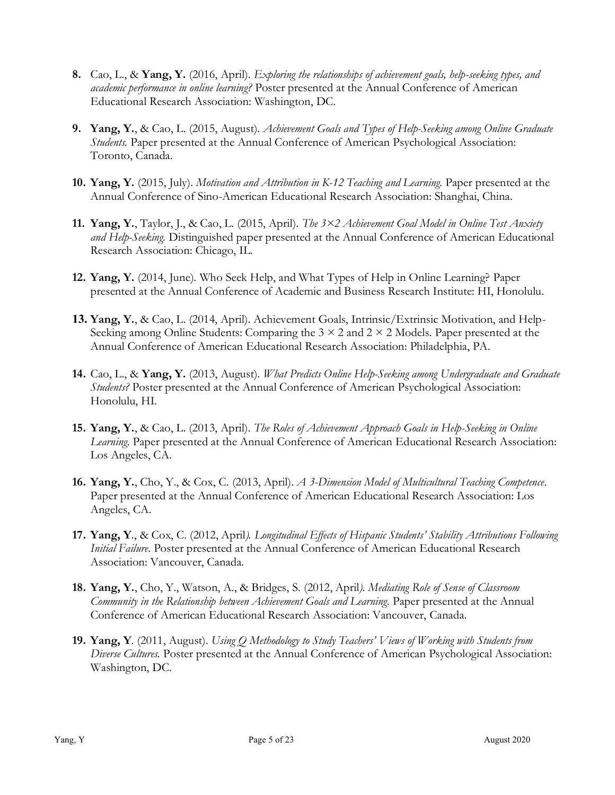- **8.** Cao, L., & **Yang, Y.** (2016, April). *Exploring the relationships of achievement goals, help-seeking types, and academic performance in online learning?* Poster presented at the Annual Conference of American Educational Research Association: Washington, DC.
- **9. Yang, Y.**, & Cao, L. (2015, August). *Achievement Goals and Types of Help-Seeking among Online Graduate Students.* Paper presented at the Annual Conference of American Psychological Association: Toronto, Canada.
- **10. Yang, Y.** (2015, July). *Motivation and Attribution in K-12 Teaching and Learning.* Paper presented at the Annual Conference of Sino-American Educational Research Association: Shanghai, China.
- **11. Yang, Y.**, Taylor, J., & Cao, L. (2015, April). *The 3×2 Achievement Goal Model in Online Test Anxiety and Help-Seeking.* Distinguished paper presented at the Annual Conference of American Educational Research Association: Chicago, IL.
- **12. Yang, Y.** (2014, June). Who Seek Help, and What Types of Help in Online Learning? Paper presented at the Annual Conference of Academic and Business Research Institute: HI, Honolulu.
- **13. Yang, Y.**, & Cao, L. (2014, April). Achievement Goals, Intrinsic/Extrinsic Motivation, and Help-Seeking among Online Students: Comparing the  $3 \times 2$  and  $2 \times 2$  Models. Paper presented at the Annual Conference of American Educational Research Association: Philadelphia, PA.
- **14.** Cao, L., & **Yang, Y.** (2013, August). *What Predicts Online Help-Seeking among Undergraduate and Graduate Students?* Poster presented at the Annual Conference of American Psychological Association: Honolulu, HI.
- **15. Yang, Y.**, & Cao, L. (2013, April). *The Roles of Achievement Approach Goals in Help-Seeking in Online Learning*. Paper presented at the Annual Conference of American Educational Research Association: Los Angeles, CA.
- **16. Yang, Y.**, Cho, Y., & Cox, C. (2013, April). *A 3-Dimension Model of Multicultural Teaching Competence*. Paper presented at the Annual Conference of American Educational Research Association: Los Angeles, CA.
- **17. Yang, Y**., & Cox, C. (2012, April*). Longitudinal Effects of Hispanic Students' Stability Attributions Following Initial Failure*. Poster presented at the Annual Conference of American Educational Research Association: Vancouver, Canada.
- **18. Yang, Y.**, Cho, Y., Watson, A., & Bridges, S. (2012, April*). Mediating Role of Sense of Classroom Community in the Relationship between Achievement Goals and Learning*. Paper presented at the Annual Conference of American Educational Research Association: Vancouver, Canada.
- **19. Yang, Y**. (2011, August). *Using Q Methodology to Study Teachers' Views of Working with Students from Diverse Cultures.* Poster presented at the Annual Conference of American Psychological Association: Washington, DC.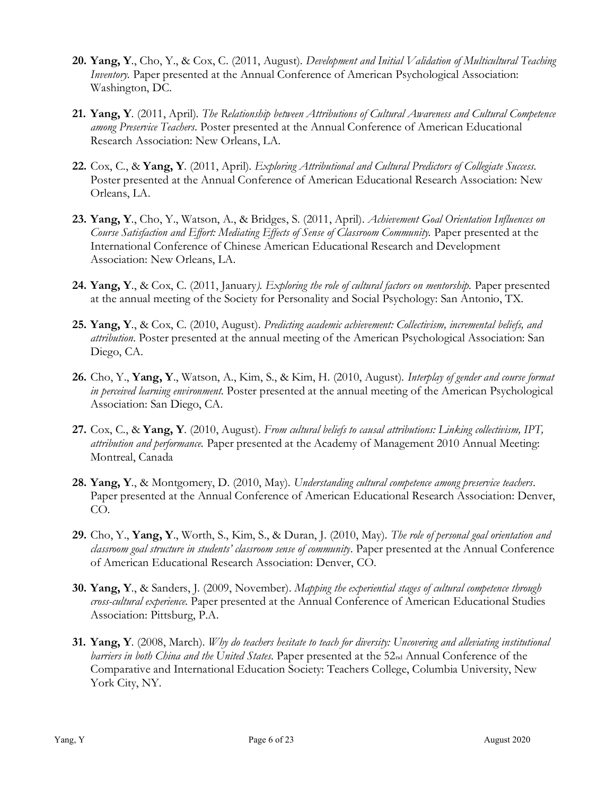- **20. Yang, Y**., Cho, Y., & Cox, C. (2011, August). *Development and Initial Validation of Multicultural Teaching Inventory.* Paper presented at the Annual Conference of American Psychological Association: Washington, DC.
- **21. Yang, Y**. (2011, April). *The Relationship between Attributions of Cultural Awareness and Cultural Competence among Preservice Teachers*. Poster presented at the Annual Conference of American Educational Research Association: New Orleans, LA.
- **22.** Cox, C., & **Yang, Y**. (2011, April). *Exploring Attributional and Cultural Predictors of Collegiate Success.* Poster presented at the Annual Conference of American Educational Research Association: New Orleans, LA.
- **23. Yang, Y**., Cho, Y., Watson, A., & Bridges, S. (2011, April). *Achievement Goal Orientation Influences on Course Satisfaction and Effort: Mediating Effects of Sense of Classroom Community.* Paper presented at the International Conference of Chinese American Educational Research and Development Association: New Orleans, LA.
- **24. Yang, Y**., & Cox, C. (2011, January*). Exploring the role of cultural factors on mentorship.* Paper presented at the annual meeting of the Society for Personality and Social Psychology: San Antonio, TX.
- **25. Yang, Y**., & Cox, C. (2010, August). *Predicting academic achievement: Collectivism, incremental beliefs, and attribution*. Poster presented at the annual meeting of the American Psychological Association: San Diego, CA.
- **26.** Cho, Y., **Yang, Y**., Watson, A., Kim, S., & Kim, H. (2010, August). *Interplay of gender and course format in perceived learning environment*. Poster presented at the annual meeting of the American Psychological Association: San Diego, CA.
- **27.** Cox, C., & **Yang, Y**. (2010, August). *From cultural beliefs to causal attributions: Linking collectivism, IPT, attribution and performance.* Paper presented at the Academy of Management 2010 Annual Meeting: Montreal, Canada
- **28. Yang, Y**., & Montgomery, D. (2010, May). *Understanding cultural competence among preservice teachers*. Paper presented at the Annual Conference of American Educational Research Association: Denver, CO.
- **29.** Cho, Y., **Yang, Y**., Worth, S., Kim, S., & Duran, J. (2010, May). *The role of personal goal orientation and classroom goal structure in students' classroom sense of community*. Paper presented at the Annual Conference of American Educational Research Association: Denver, CO.
- **30. Yang, Y**., & Sanders, J. (2009, November). *Mapping the experiential stages of cultural competence through cross-cultural experience*. Paper presented at the Annual Conference of American Educational Studies Association: Pittsburg, P.A.
- **31. Yang, Y**. (2008, March). *Why do teachers hesitate to teach for diversity: Uncovering and alleviating institutional barriers in both China and the United States*. Paper presented at the 52nd Annual Conference of the Comparative and International Education Society: Teachers College, Columbia University, New York City, NY.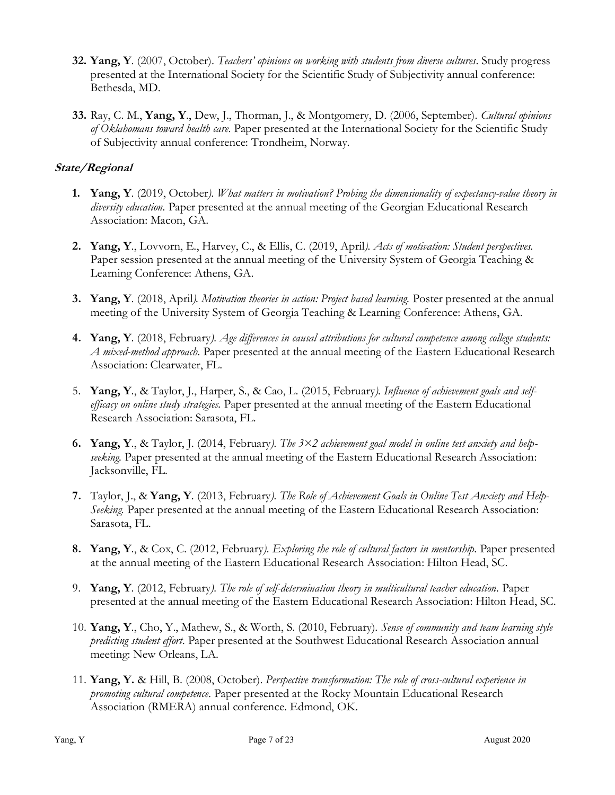- **32. Yang, Y**. (2007, October). *Teachers' opinions on working with students from diverse cultures*. Study progress presented at the International Society for the Scientific Study of Subjectivity annual conference: Bethesda, MD.
- **33.** Ray, C. M., **Yang, Y**., Dew, J., Thorman, J., & Montgomery, D. (2006, September). *Cultural opinions of Oklahomans toward health care*. Paper presented at the International Society for the Scientific Study of Subjectivity annual conference: Trondheim, Norway.

# **State/Regional**

- **1. Yang, Y**. (2019, October*). What matters in motivation? Probing the dimensionality of expectancy-value theory in diversity education.* Paper presented at the annual meeting of the Georgian Educational Research Association: Macon, GA.
- **2. Yang, Y**., Lovvorn, E., Harvey, C., & Ellis, C. (2019, April*). Acts of motivation: Student perspectives.* Paper session presented at the annual meeting of the University System of Georgia Teaching & Learning Conference: Athens, GA.
- **3. Yang, Y**. (2018, April*). Motivation theories in action: Project based learning.* Poster presented at the annual meeting of the University System of Georgia Teaching & Learning Conference: Athens, GA.
- **4. Yang, Y**. (2018, February*). Age differences in causal attributions for cultural competence among college students: A mixed-method approach.* Paper presented at the annual meeting of the Eastern Educational Research Association: Clearwater, FL.
- 5. **Yang, Y**., & Taylor, J., Harper, S., & Cao, L. (2015, February*). Influence of achievement goals and selfefficacy on online study strategies.* Paper presented at the annual meeting of the Eastern Educational Research Association: Sarasota, FL.
- **6. Yang, Y**., & Taylor, J. (2014, February*). The 3×2 achievement goal model in online test anxiety and helpseeking.* Paper presented at the annual meeting of the Eastern Educational Research Association: Jacksonville, FL.
- **7.** Taylor, J., & **Yang, Y**. (2013, February*). The Role of Achievement Goals in Online Test Anxiety and Help-Seeking.* Paper presented at the annual meeting of the Eastern Educational Research Association: Sarasota, FL.
- **8. Yang, Y**., & Cox, C. (2012, February*). Exploring the role of cultural factors in mentorship.* Paper presented at the annual meeting of the Eastern Educational Research Association: Hilton Head, SC.
- 9. **Yang, Y**. (2012, February*). The role of self-determination theory in multicultural teacher education.* Paper presented at the annual meeting of the Eastern Educational Research Association: Hilton Head, SC.
- 10. **Yang, Y**., Cho, Y., Mathew, S., & Worth, S. (2010, February). *Sense of community and team learning style predicting student effort*. Paper presented at the Southwest Educational Research Association annual meeting: New Orleans, LA.
- 11. **Yang, Y.** & Hill, B. (2008, October). *Perspective transformation: The role of cross-cultural experience in promoting cultural competence*. Paper presented at the Rocky Mountain Educational Research Association (RMERA) annual conference. Edmond, OK.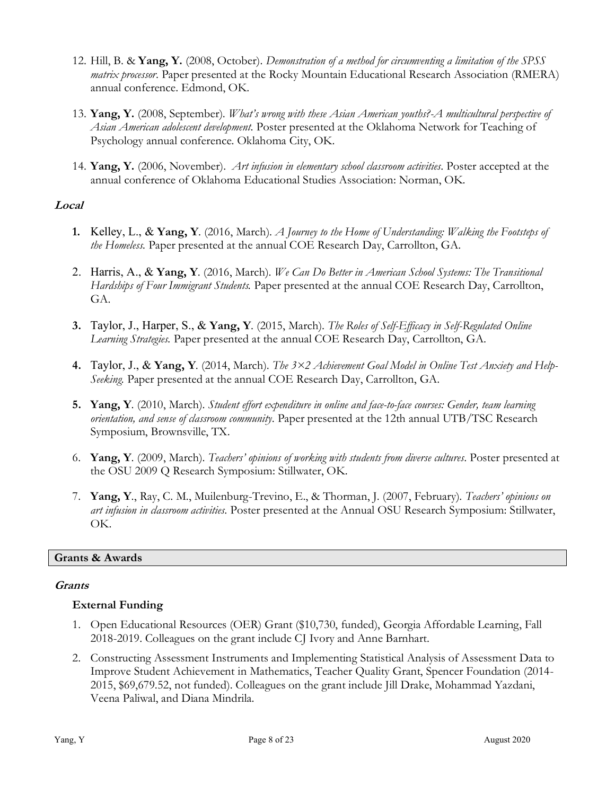- 12. Hill, B. & **Yang, Y.** (2008, October). *Demonstration of a method for circumventing a limitation of the SPSS matrix processor*. Paper presented at the Rocky Mountain Educational Research Association (RMERA) annual conference. Edmond, OK.
- 13. **Yang, Y.** (2008, September). *What's wrong with these Asian American youths?-A multicultural perspective of Asian American adolescent development*. Poster presented at the Oklahoma Network for Teaching of Psychology annual conference. Oklahoma City, OK.
- 14. **Yang, Y.** (2006, November). *Art infusion in elementary school classroom activities*. Poster accepted at the annual conference of Oklahoma Educational Studies Association: Norman, OK.

# **Local**

- **1.** Kelley, L., & **Yang, Y**. (2016, March). *A Journey to the Home of Understanding: Walking the Footsteps of the Homeless.* Paper presented at the annual COE Research Day, Carrollton, GA.
- 2. Harris, A., & **Yang, Y**. (2016, March). *We Can Do Better in American School Systems: The Transitional Hardships of Four Immigrant Students.* Paper presented at the annual COE Research Day, Carrollton, GA.
- **3.** Taylor, J., Harper, S., & **Yang, Y**. (2015, March). *The Roles of Self-Efficacy in Self-Regulated Online Learning Strategies.* Paper presented at the annual COE Research Day, Carrollton, GA.
- **4.** Taylor, J., & **Yang, Y**. (2014, March). *The 3×2 Achievement Goal Model in Online Test Anxiety and Help-Seeking.* Paper presented at the annual COE Research Day, Carrollton, GA.
- **5. Yang, Y**. (2010, March). *Student effort expenditure in online and face-to-face courses: Gender, team learning orientation, and sense of classroom community*. Paper presented at the 12th annual UTB/TSC Research Symposium, Brownsville, TX.
- 6. **Yang, Y**. (2009, March). *Teachers' opinions of working with students from diverse cultures*. Poster presented at the OSU 2009 Q Research Symposium: Stillwater, OK.
- 7. **Yang, Y**., Ray, C. M., Muilenburg-Trevino, E., & Thorman, J. (2007, February). *Teachers' opinions on art infusion in classroom activities*. Poster presented at the Annual OSU Research Symposium: Stillwater, OK.

### **Grants & Awards**

### **Grants**

### **External Funding**

- 1. Open Educational Resources (OER) Grant (\$10,730, funded), Georgia Affordable Learning, Fall 2018-2019. Colleagues on the grant include CJ Ivory and Anne Barnhart.
- 2. Constructing Assessment Instruments and Implementing Statistical Analysis of Assessment Data to Improve Student Achievement in Mathematics, Teacher Quality Grant, Spencer Foundation (2014- 2015, \$69,679.52, not funded). Colleagues on the grant include Jill Drake, Mohammad Yazdani, Veena Paliwal, and Diana Mindrila.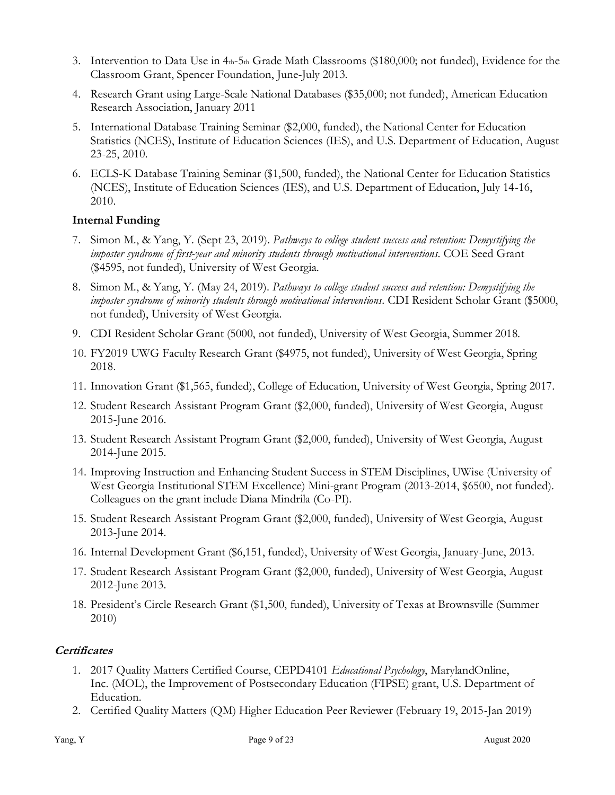- 3. Intervention to Data Use in 4th-5th Grade Math Classrooms (\$180,000; not funded), Evidence for the Classroom Grant, Spencer Foundation, June-July 2013.
- 4. Research Grant using Large-Scale National Databases (\$35,000; not funded), American Education Research Association, January 2011
- 5. International Database Training Seminar (\$2,000, funded), the National Center for Education Statistics (NCES), Institute of Education Sciences (IES), and U.S. Department of Education, August 23-25, 2010.
- 6. ECLS-K Database Training Seminar (\$1,500, funded), the National Center for Education Statistics (NCES), Institute of Education Sciences (IES), and U.S. Department of Education, July 14-16, 2010.

# **Internal Funding**

- 7. Simon M., & Yang, Y. (Sept 23, 2019). *Pathways to college student success and retention: Demystifying the imposter syndrome of first-year and minority students through motivational interventions*. COE Seed Grant (\$4595, not funded), University of West Georgia.
- 8. Simon M., & Yang, Y. (May 24, 2019). *Pathways to college student success and retention: Demystifying the imposter syndrome of minority students through motivational interventions*. CDI Resident Scholar Grant (\$5000, not funded), University of West Georgia.
- 9. CDI Resident Scholar Grant (5000, not funded), University of West Georgia, Summer 2018.
- 10. FY2019 UWG Faculty Research Grant (\$4975, not funded), University of West Georgia, Spring 2018.
- 11. Innovation Grant (\$1,565, funded), College of Education, University of West Georgia, Spring 2017.
- 12. Student Research Assistant Program Grant (\$2,000, funded), University of West Georgia, August 2015-June 2016.
- 13. Student Research Assistant Program Grant (\$2,000, funded), University of West Georgia, August 2014-June 2015.
- 14. Improving Instruction and Enhancing Student Success in STEM Disciplines, UWise (University of West Georgia Institutional STEM Excellence) Mini-grant Program (2013-2014, \$6500, not funded). Colleagues on the grant include Diana Mindrila (Co-PI).
- 15. Student Research Assistant Program Grant (\$2,000, funded), University of West Georgia, August 2013-June 2014.
- 16. Internal Development Grant (\$6,151, funded), University of West Georgia, January-June, 2013.
- 17. Student Research Assistant Program Grant (\$2,000, funded), University of West Georgia, August 2012-June 2013.
- 18. President's Circle Research Grant (\$1,500, funded), University of Texas at Brownsville (Summer 2010)

### **Certificates**

- 1. 2017 Quality Matters Certified Course, CEPD4101 *Educational Psychology*, MarylandOnline, Inc. (MOL), the Improvement of Postsecondary Education (FIPSE) grant, U.S. Department of Education.
- 2. Certified Quality Matters (QM) Higher Education Peer Reviewer (February 19, 2015-Jan 2019)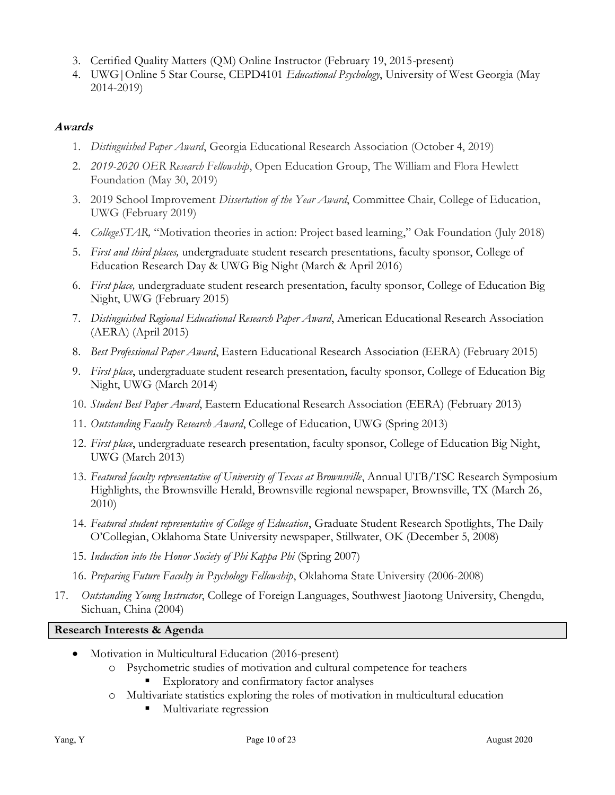- 3. Certified Quality Matters (QM) Online Instructor (February 19, 2015-present)
- 4. UWG|Online 5 Star Course, CEPD4101 *Educational Psychology*, University of West Georgia (May 2014-2019)

# **Awards**

- 1. *Distinguished Paper Award*, Georgia Educational Research Association (October 4, 2019)
- 2. *2019-2020 OER Research Fellowship*, Open Education Group, The William and Flora Hewlett Foundation (May 30, 2019)
- 3. 2019 School Improvement *Dissertation of the Year Award*, Committee Chair, College of Education, UWG (February 2019)
- 4. *CollegeSTAR,* "Motivation theories in action: Project based learning," Oak Foundation (July 2018)
- 5. *First and third places,* undergraduate student research presentations, faculty sponsor, College of Education Research Day & UWG Big Night (March & April 2016)
- 6. *First place,* undergraduate student research presentation, faculty sponsor, College of Education Big Night, UWG (February 2015)
- 7. *Distinguished Regional Educational Research Paper Award*, American Educational Research Association (AERA) (April 2015)
- 8. *Best Professional Paper Award*, Eastern Educational Research Association (EERA) (February 2015)
- 9. *First place*, undergraduate student research presentation, faculty sponsor, College of Education Big Night, UWG (March 2014)
- 10. *Student Best Paper Award*, Eastern Educational Research Association (EERA) (February 2013)
- 11. *Outstanding Faculty Research Award*, College of Education, UWG (Spring 2013)
- 12. *First place*, undergraduate research presentation, faculty sponsor, College of Education Big Night, UWG (March 2013)
- 13. *Featured faculty representative of University of Texas at Brownsville*, Annual UTB/TSC Research Symposium Highlights, the Brownsville Herald, Brownsville regional newspaper, Brownsville, TX (March 26, 2010)
- 14. *Featured student representative of College of Education*, Graduate Student Research Spotlights, The Daily O'Collegian, Oklahoma State University newspaper, Stillwater, OK (December 5, 2008)
- 15. *Induction into the Honor Society of Phi Kappa Phi* (Spring 2007)
- 16. *Preparing Future Faculty in Psychology Fellowship*, Oklahoma State University (2006-2008)
- 17. *Outstanding Young Instructor*, College of Foreign Languages, Southwest Jiaotong University, Chengdu, Sichuan, China (2004)

### **Research Interests & Agenda**

- Motivation in Multicultural Education (2016-present)
	- o Psychometric studies of motivation and cultural competence for teachers
		- Exploratory and confirmatory factor analyses
	- o Multivariate statistics exploring the roles of motivation in multicultural education
		- Multivariate regression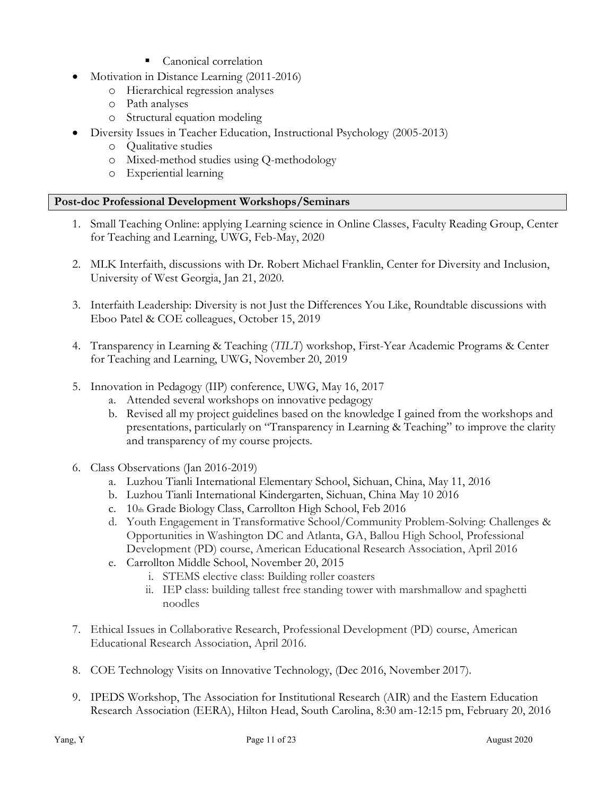- Canonical correlation
- Motivation in Distance Learning (2011-2016)
	- o Hierarchical regression analyses
	- o Path analyses
	- o Structural equation modeling
- Diversity Issues in Teacher Education, Instructional Psychology (2005-2013)
	- o Qualitative studies
	- o Mixed-method studies using Q-methodology
	- o Experiential learning

# **Post-doc Professional Development Workshops/Seminars**

- 1. Small Teaching Online: applying Learning science in Online Classes, Faculty Reading Group, Center for Teaching and Learning, UWG, Feb-May, 2020
- 2. MLK Interfaith, discussions with Dr. Robert Michael Franklin, Center for Diversity and Inclusion, University of West Georgia, Jan 21, 2020.
- 3. Interfaith Leadership: Diversity is not Just the Differences You Like, Roundtable discussions with Eboo Patel & COE colleagues, October 15, 2019
- 4. Transparency in Learning & Teaching (*TILT*) workshop, First-Year Academic Programs & Center for Teaching and Learning, UWG, November 20, 2019
- 5. Innovation in Pedagogy (IIP) conference, UWG, May 16, 2017
	- a. Attended several workshops on innovative pedagogy
	- b. Revised all my project guidelines based on the knowledge I gained from the workshops and presentations, particularly on "Transparency in Learning & Teaching" to improve the clarity and transparency of my course projects.
- 6. Class Observations (Jan 2016-2019)
	- a. Luzhou Tianli International Elementary School, Sichuan, China, May 11, 2016
	- b. Luzhou Tianli International Kindergarten, Sichuan, China May 10 2016
	- c. 10th Grade Biology Class, Carrollton High School, Feb 2016
	- d. Youth Engagement in Transformative School/Community Problem-Solving: Challenges & Opportunities in Washington DC and Atlanta, GA, Ballou High School, Professional Development (PD) course, American Educational Research Association, April 2016
	- e. Carrollton Middle School, November 20, 2015
		- i. STEMS elective class: Building roller coasters
		- ii. IEP class: building tallest free standing tower with marshmallow and spaghetti noodles
- 7. Ethical Issues in Collaborative Research, Professional Development (PD) course, American Educational Research Association, April 2016.
- 8. COE Technology Visits on Innovative Technology, (Dec 2016, November 2017).
- 9. IPEDS Workshop, The Association for Institutional Research (AIR) and the Eastern Education Research Association (EERA), Hilton Head, South Carolina, 8:30 am-12:15 pm, February 20, 2016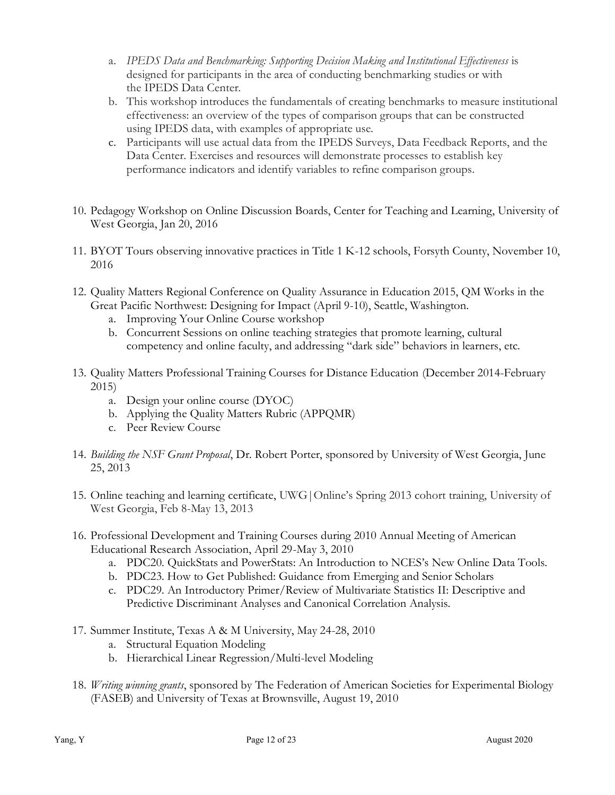- a. *IPEDS Data and Benchmarking: Supporting Decision Making and Institutional Effectiveness* is designed for participants in the area of conducting benchmarking studies or with the IPEDS Data Center.
- b. This workshop introduces the fundamentals of creating benchmarks to measure institutional effectiveness: an overview of the types of comparison groups that can be constructed using IPEDS data, with examples of appropriate use.
- c. Participants will use actual data from the IPEDS Surveys, Data Feedback Reports, and the Data Center. Exercises and resources will demonstrate processes to establish key performance indicators and identify variables to refine comparison groups.
- 10. Pedagogy Workshop on Online Discussion Boards, Center for Teaching and Learning, University of West Georgia, Jan 20, 2016
- 11. BYOT Tours observing innovative practices in Title 1 K-12 schools, Forsyth County, November 10, 2016
- 12. Quality Matters Regional Conference on Quality Assurance in Education 2015, QM Works in the Great Pacific Northwest: Designing for Impact (April 9-10), Seattle, Washington.
	- a. Improving Your Online Course workshop
	- b. Concurrent Sessions on online teaching strategies that promote learning, cultural competency and online faculty, and addressing "dark side" behaviors in learners, etc.
- 13. Quality Matters Professional Training Courses for Distance Education (December 2014-February 2015)
	- a. Design your online course (DYOC)
	- b. Applying the Quality Matters Rubric (APPQMR)
	- c. Peer Review Course
- 14. *Building the NSF Grant Proposal*, Dr. Robert Porter, sponsored by University of West Georgia, June 25, 2013
- 15. Online teaching and learning certificate, UWG|Online's Spring 2013 cohort training, University of West Georgia, Feb 8-May 13, 2013
- 16. Professional Development and Training Courses during 2010 Annual Meeting of American Educational Research Association, April 29-May 3, 2010
	- a. PDC20. QuickStats and PowerStats: An Introduction to NCES's New Online Data Tools.
	- b. PDC23. How to Get Published: Guidance from Emerging and Senior Scholars
	- c. PDC29. An Introductory Primer/Review of Multivariate Statistics II: Descriptive and Predictive Discriminant Analyses and Canonical Correlation Analysis.
- 17. Summer Institute, Texas A & M University, May 24-28, 2010
	- a. Structural Equation Modeling
	- b. Hierarchical Linear Regression/Multi-level Modeling
- 18. *Writing winning grants*, sponsored by The Federation of American Societies for Experimental Biology (FASEB) and University of Texas at Brownsville, August 19, 2010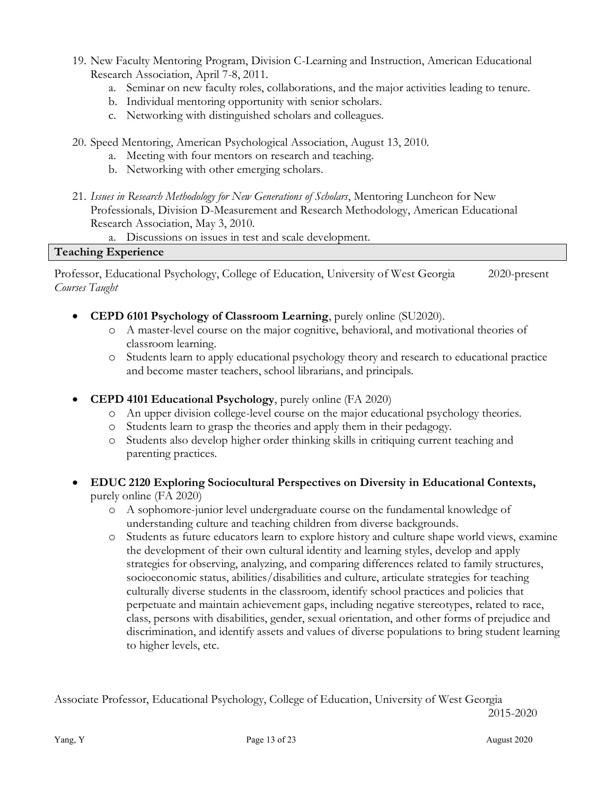- 19. New Faculty Mentoring Program, Division C-Learning and Instruction, American Educational Research Association, April 7-8, 2011.
	- a. Seminar on new faculty roles, collaborations, and the major activities leading to tenure.
	- b. Individual mentoring opportunity with senior scholars.
	- c. Networking with distinguished scholars and colleagues.
- 20. Speed Mentoring, American Psychological Association, August 13, 2010.
	- a. Meeting with four mentors on research and teaching.
	- b. Networking with other emerging scholars.
- 21. *Issues in Research Methodology for New Generations of Scholars*, Mentoring Luncheon for New Professionals, Division D-Measurement and Research Methodology, American Educational Research Association, May 3, 2010.
	- a. Discussions on issues in test and scale development.

#### **Teaching Experience**

Professor, Educational Psychology, College of Education, University of West Georgia 2020-present *Courses Taught*

- **CEPD 6101 Psychology of Classroom Learning**, purely online (SU2020).
	- o A master-level course on the major cognitive, behavioral, and motivational theories of classroom learning.
	- o Students learn to apply educational psychology theory and research to educational practice and become master teachers, school librarians, and principals.
- **CEPD 4101 Educational Psychology**, purely online (FA 2020)
	- o An upper division college-level course on the major educational psychology theories.
	- o Students learn to grasp the theories and apply them in their pedagogy.
	- o Students also develop higher order thinking skills in critiquing current teaching and parenting practices.
- **EDUC 2120 Exploring Sociocultural Perspectives on Diversity in Educational Contexts,**  purely online (FA 2020)
	- o A sophomore-junior level undergraduate course on the fundamental knowledge of understanding culture and teaching children from diverse backgrounds.
	- o Students as future educators learn to explore history and culture shape world views, examine the development of their own cultural identity and learning styles, develop and apply strategies for observing, analyzing, and comparing differences related to family structures, socioeconomic status, abilities/disabilities and culture, articulate strategies for teaching culturally diverse students in the classroom, identify school practices and policies that perpetuate and maintain achievement gaps, including negative stereotypes, related to race, class, persons with disabilities, gender, sexual orientation, and other forms of prejudice and discrimination, and identify assets and values of diverse populations to bring student learning to higher levels, etc.

Associate Professor, Educational Psychology, College of Education, University of West Georgia 2015-2020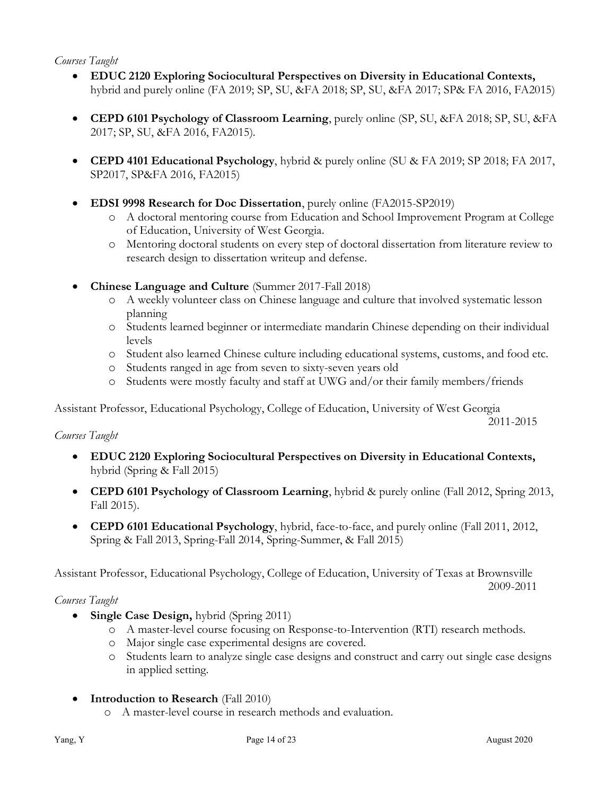### *Courses Taught*

- **EDUC 2120 Exploring Sociocultural Perspectives on Diversity in Educational Contexts,**  hybrid and purely online (FA 2019; SP, SU, &FA 2018; SP, SU, &FA 2017; SP& FA 2016, FA2015)
- **CEPD 6101 Psychology of Classroom Learning**, purely online (SP, SU, &FA 2018; SP, SU, &FA 2017; SP, SU, &FA 2016, FA2015).
- **CEPD 4101 Educational Psychology**, hybrid & purely online (SU & FA 2019; SP 2018; FA 2017, SP2017, SP&FA 2016, FA2015)
- **EDSI 9998 Research for Doc Dissertation**, purely online (FA2015-SP2019)
	- o A doctoral mentoring course from Education and School Improvement Program at College of Education, University of West Georgia.
	- o Mentoring doctoral students on every step of doctoral dissertation from literature review to research design to dissertation writeup and defense.
- **Chinese Language and Culture** (Summer 2017-Fall 2018)
	- o A weekly volunteer class on Chinese language and culture that involved systematic lesson planning
	- o Students learned beginner or intermediate mandarin Chinese depending on their individual levels
	- o Student also learned Chinese culture including educational systems, customs, and food etc.
	- o Students ranged in age from seven to sixty-seven years old
	- o Students were mostly faculty and staff at UWG and/or their family members/friends

Assistant Professor, Educational Psychology, College of Education, University of West Georgia

2011-2015

### *Courses Taught*

- **EDUC 2120 Exploring Sociocultural Perspectives on Diversity in Educational Contexts,**  hybrid (Spring & Fall 2015)
- **CEPD 6101 Psychology of Classroom Learning**, hybrid & purely online (Fall 2012, Spring 2013, Fall 2015).
- **CEPD 6101 Educational Psychology**, hybrid, face-to-face, and purely online (Fall 2011, 2012, Spring & Fall 2013, Spring-Fall 2014, Spring-Summer, & Fall 2015)

Assistant Professor, Educational Psychology, College of Education, University of Texas at Brownsville 2009-2011

### *Courses Taught*

- **Single Case Design,** hybrid (Spring 2011)
	- o A master-level course focusing on Response-to-Intervention (RTI) research methods.
	- o Major single case experimental designs are covered.
	- o Students learn to analyze single case designs and construct and carry out single case designs in applied setting.
- **Introduction to Research** (Fall 2010)
	- o A master-level course in research methods and evaluation.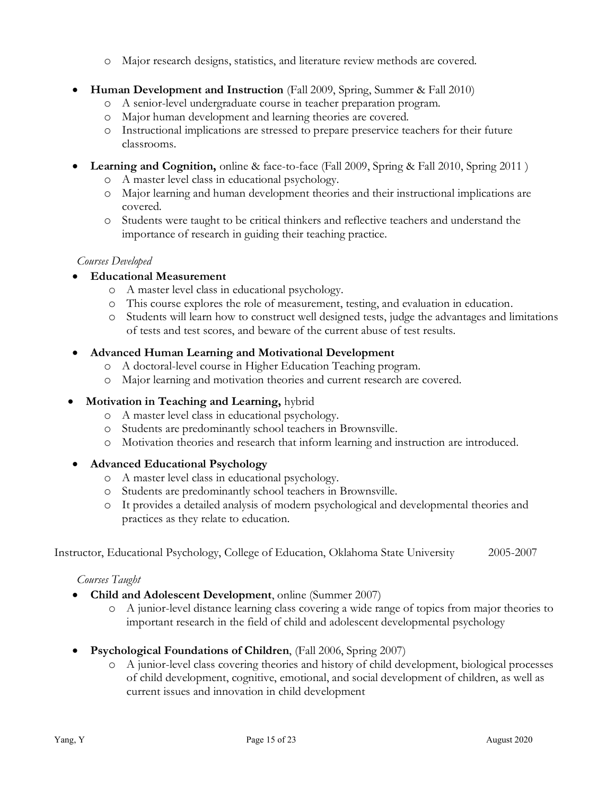- o Major research designs, statistics, and literature review methods are covered.
- **Human Development and Instruction** (Fall 2009, Spring, Summer & Fall 2010)
	- o A senior-level undergraduate course in teacher preparation program.
	- o Major human development and learning theories are covered.
	- o Instructional implications are stressed to prepare preservice teachers for their future classrooms.
- **Learning and Cognition,** online & face-to-face (Fall 2009, Spring & Fall 2010, Spring 2011 )
	- o A master level class in educational psychology.
	- o Major learning and human development theories and their instructional implications are covered.
	- o Students were taught to be critical thinkers and reflective teachers and understand the importance of research in guiding their teaching practice.

### *Courses Developed*

- **Educational Measurement**
	- o A master level class in educational psychology.
	- o This course explores the role of measurement, testing, and evaluation in education.
	- o Students will learn how to construct well designed tests, judge the advantages and limitations of tests and test scores, and beware of the current abuse of test results.

# • **Advanced Human Learning and Motivational Development**

- o A doctoral-level course in Higher Education Teaching program.
- o Major learning and motivation theories and current research are covered.

# • **Motivation in Teaching and Learning,** hybrid

- o A master level class in educational psychology.
- o Students are predominantly school teachers in Brownsville.
- o Motivation theories and research that inform learning and instruction are introduced.

# • **Advanced Educational Psychology**

- o A master level class in educational psychology.
- o Students are predominantly school teachers in Brownsville.
- o It provides a detailed analysis of modern psychological and developmental theories and practices as they relate to education.

Instructor, Educational Psychology, College of Education, Oklahoma State University 2005-2007

### *Courses Taught*

- **Child and Adolescent Development**, online (Summer 2007)
	- o A junior-level distance learning class covering a wide range of topics from major theories to important research in the field of child and adolescent developmental psychology
- **Psychological Foundations of Children**, (Fall 2006, Spring 2007)
	- o A junior-level class covering theories and history of child development, biological processes of child development, cognitive, emotional, and social development of children, as well as current issues and innovation in child development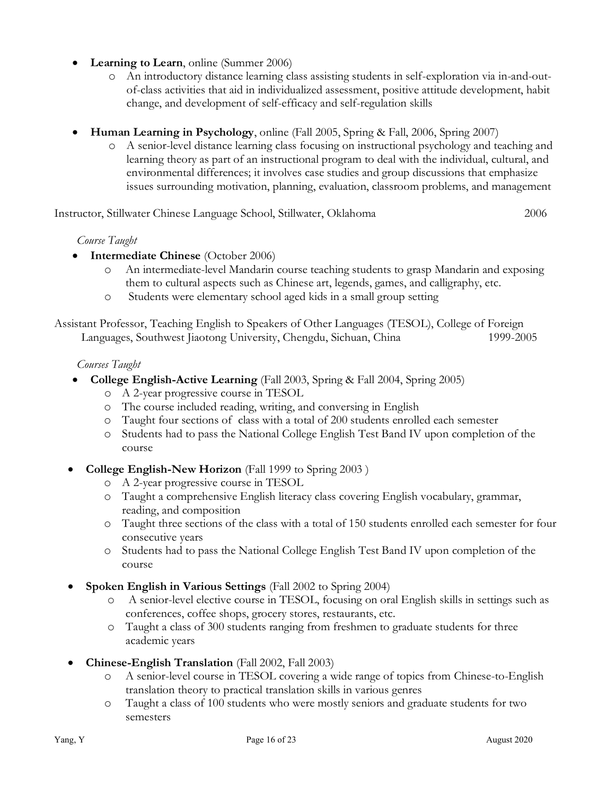- Learning to Learn, online (Summer 2006)
	- o An introductory distance learning class assisting students in self-exploration via in-and-outof-class activities that aid in individualized assessment, positive attitude development, habit change, and development of self-efficacy and self-regulation skills
- **Human Learning in Psychology**, online (Fall 2005, Spring & Fall, 2006, Spring 2007)
	- o A senior-level distance learning class focusing on instructional psychology and teaching and learning theory as part of an instructional program to deal with the individual, cultural, and environmental differences; it involves case studies and group discussions that emphasize issues surrounding motivation, planning, evaluation, classroom problems, and management

Instructor, Stillwater Chinese Language School, Stillwater, Oklahoma 2006

### *Course Taught*

- **Intermediate Chinese** (October 2006)
	- o An intermediate-level Mandarin course teaching students to grasp Mandarin and exposing them to cultural aspects such as Chinese art, legends, games, and calligraphy, etc.
	- o Students were elementary school aged kids in a small group setting

Assistant Professor, Teaching English to Speakers of Other Languages (TESOL), College of Foreign Languages, Southwest Jiaotong University, Chengdu, Sichuan, China 1999-2005

### *Courses Taught*

- **College English-Active Learning** (Fall 2003, Spring & Fall 2004, Spring 2005)
	- o A 2-year progressive course in TESOL
	- o The course included reading, writing, and conversing in English
	- o Taught four sections of class with a total of 200 students enrolled each semester
	- o Students had to pass the National College English Test Band IV upon completion of the course
- **College English-New Horizon** (Fall 1999 to Spring 2003 )
	- o A 2-year progressive course in TESOL
	- o Taught a comprehensive English literacy class covering English vocabulary, grammar, reading, and composition
	- o Taught three sections of the class with a total of 150 students enrolled each semester for four consecutive years
	- o Students had to pass the National College English Test Band IV upon completion of the course
- **Spoken English in Various Settings** (Fall 2002 to Spring 2004)
	- o A senior-level elective course in TESOL, focusing on oral English skills in settings such as conferences, coffee shops, grocery stores, restaurants, etc.
	- o Taught a class of 300 students ranging from freshmen to graduate students for three academic years
- **Chinese-English Translation** (Fall 2002, Fall 2003)
	- o A senior-level course in TESOL covering a wide range of topics from Chinese-to-English translation theory to practical translation skills in various genres
	- o Taught a class of 100 students who were mostly seniors and graduate students for two semesters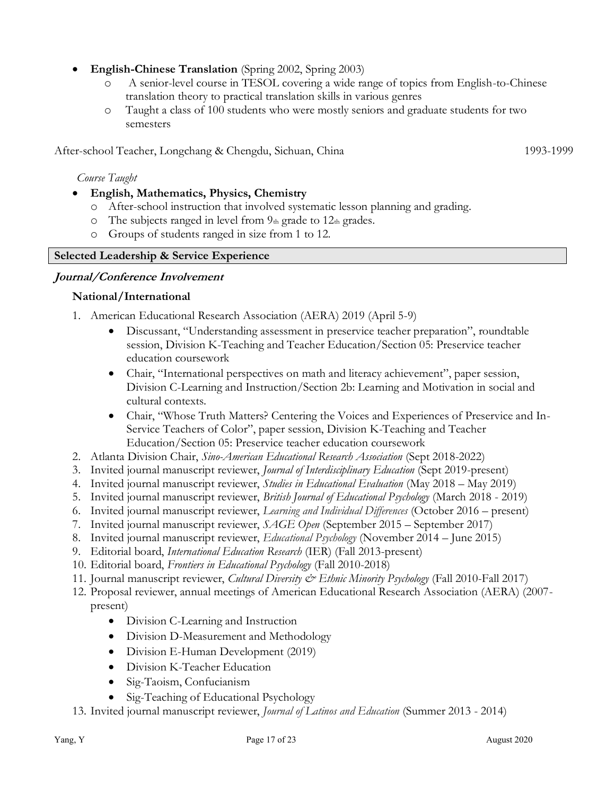- **English-Chinese Translation** (Spring 2002, Spring 2003)
	- o A senior-level course in TESOL covering a wide range of topics from English-to-Chinese translation theory to practical translation skills in various genres
	- o Taught a class of 100 students who were mostly seniors and graduate students for two semesters

After-school Teacher, Longchang & Chengdu, Sichuan, China 1993-1999

*Course Taught*

- **English, Mathematics, Physics, Chemistry**
	- o After-school instruction that involved systematic lesson planning and grading.
	- $\circ$  The subjects ranged in level from  $9<sub>th</sub>$  grade to 12th grades.
	- o Groups of students ranged in size from 1 to 12.

# **Selected Leadership & Service Experience**

# **Journal/Conference Involvement**

# **National/International**

- 1. American Educational Research Association (AERA) 2019 (April 5-9)
	- Discussant, "Understanding assessment in preservice teacher preparation", roundtable session, Division K-Teaching and Teacher Education/Section 05: Preservice teacher education coursework
	- Chair, "International perspectives on math and literacy achievement", paper session, Division C-Learning and Instruction/Section 2b: Learning and Motivation in social and cultural contexts.
	- Chair, "Whose Truth Matters? Centering the Voices and Experiences of Preservice and In-Service Teachers of Color", paper session, Division K-Teaching and Teacher Education/Section 05: Preservice teacher education coursework
- 2. Atlanta Division Chair, *Sino-American Educational Research Association* (Sept 2018-2022)
- 3. Invited journal manuscript reviewer, *Journal of Interdisciplinary Education* (Sept 2019-present)
- 4. Invited journal manuscript reviewer, *Studies in Educational Evaluation* (May 2018 May 2019)
- 5. Invited journal manuscript reviewer, *British Journal of Educational Psychology* (March 2018 2019)
- 6. Invited journal manuscript reviewer, *Learning and Individual Differences* (October 2016 present)
- 7. Invited journal manuscript reviewer, *SAGE Open* (September 2015 September 2017)
- 8. Invited journal manuscript reviewer, *Educational Psychology* (November 2014 June 2015)
- 9. Editorial board, *International Education Research* (IER) (Fall 2013-present)
- 10. Editorial board, *Frontiers in Educational Psychology* (Fall 2010-2018)
- 11. Journal manuscript reviewer, *Cultural Diversity & Ethnic Minority Psychology* (Fall 2010-Fall 2017)
- 12. Proposal reviewer, annual meetings of American Educational Research Association (AERA) (2007 present)
	- Division C-Learning and Instruction
	- Division D-Measurement and Methodology
	- Division E-Human Development (2019)
	- Division K-Teacher Education
	- Sig-Taoism, Confucianism
	- Sig-Teaching of Educational Psychology
- 13. Invited journal manuscript reviewer, *Journal of Latinos and Education* (Summer 2013 2014)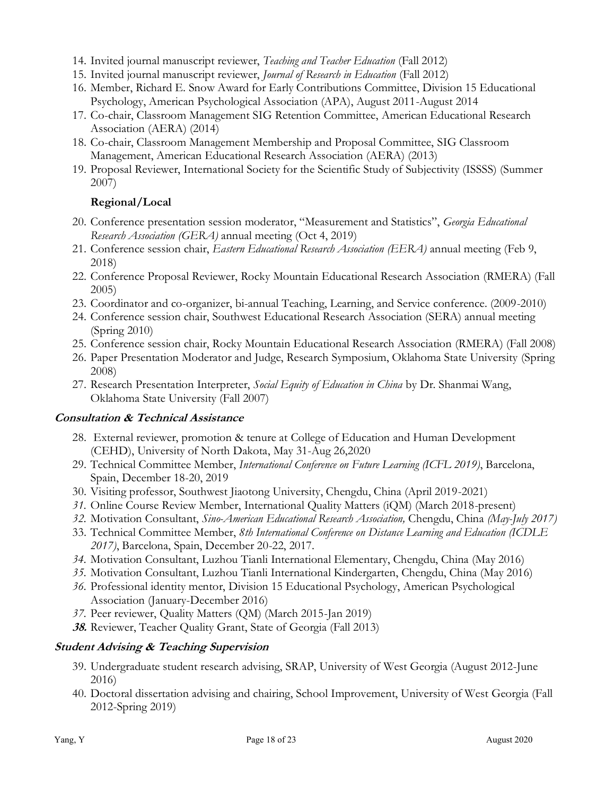- 14. Invited journal manuscript reviewer, *Teaching and Teacher Education* (Fall 2012)
- 15. Invited journal manuscript reviewer, *Journal of Research in Education* (Fall 2012)
- 16. Member, Richard E. Snow Award for Early Contributions Committee, Division 15 Educational Psychology, American Psychological Association (APA), August 2011-August 2014
- 17. Co-chair, Classroom Management SIG Retention Committee, American Educational Research Association (AERA) (2014)
- 18. Co-chair, Classroom Management Membership and Proposal Committee, SIG Classroom Management, American Educational Research Association (AERA) (2013)
- 19. Proposal Reviewer, International Society for the Scientific Study of Subjectivity (ISSSS) (Summer 2007)

# **Regional/Local**

- 20. Conference presentation session moderator, "Measurement and Statistics", *Georgia Educational Research Association (GERA)* annual meeting (Oct 4, 2019)
- 21. Conference session chair, *Eastern Educational Research Association (EERA)* annual meeting (Feb 9, 2018)
- 22. Conference Proposal Reviewer, Rocky Mountain Educational Research Association (RMERA) (Fall 2005)
- 23. Coordinator and co-organizer, bi-annual Teaching, Learning, and Service conference. (2009-2010)
- 24. Conference session chair, Southwest Educational Research Association (SERA) annual meeting (Spring 2010)
- 25. Conference session chair, Rocky Mountain Educational Research Association (RMERA) (Fall 2008)
- 26. Paper Presentation Moderator and Judge, Research Symposium, Oklahoma State University (Spring 2008)
- 27. Research Presentation Interpreter, *Social Equity of Education in China* by Dr. Shanmai Wang, Oklahoma State University (Fall 2007)

# **Consultation & Technical Assistance**

- 28. External reviewer, promotion & tenure at College of Education and Human Development (CEHD), University of North Dakota, May 31-Aug 26,2020
- 29. Technical Committee Member, *International Conference on Future Learning (ICFL 2019)*, Barcelona, Spain, December 18-20, 2019
- 30. Visiting professor, Southwest Jiaotong University, Chengdu, China (April 2019-2021)
- *31.* Online Course Review Member, International Quality Matters (iQM) (March 2018-present)
- *32.* Motivation Consultant, *Sino-American Educational Research Association,* Chengdu, China *(May-July 2017)*
- 33. Technical Committee Member, *8th International Conference on Distance Learning and Education (ICDLE 2017)*, Barcelona, Spain, December 20-22, 2017.
- *34.* Motivation Consultant, Luzhou Tianli International Elementary, Chengdu, China (May 2016)
- *35.* Motivation Consultant, Luzhou Tianli International Kindergarten, Chengdu, China (May 2016)
- *36.* Professional identity mentor, Division 15 Educational Psychology, American Psychological Association (January-December 2016)
- *37.* Peer reviewer, Quality Matters (QM) (March 2015-Jan 2019)
- **38.** Reviewer, Teacher Quality Grant, State of Georgia (Fall 2013)

# **Student Advising & Teaching Supervision**

- 39. Undergraduate student research advising, SRAP, University of West Georgia (August 2012-June 2016)
- 40. Doctoral dissertation advising and chairing, School Improvement, University of West Georgia (Fall 2012-Spring 2019)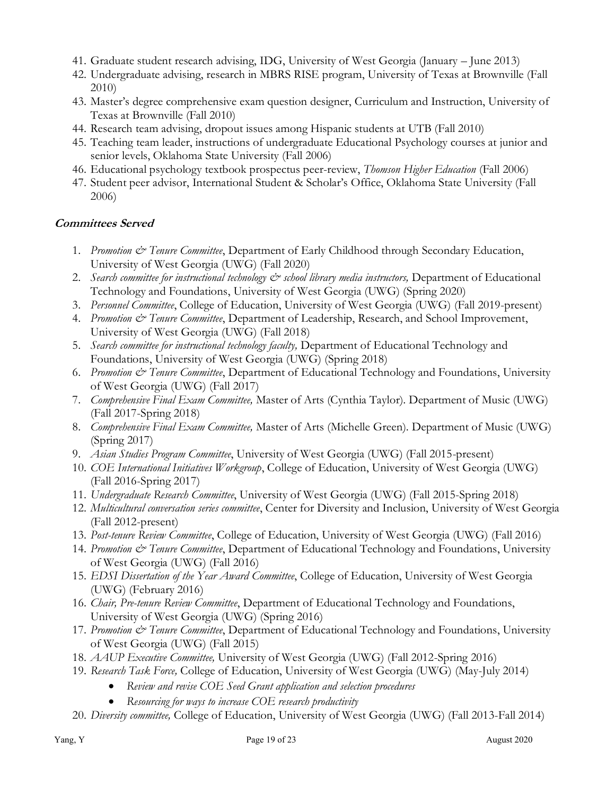- 41. Graduate student research advising, IDG, University of West Georgia (January June 2013)
- 42. Undergraduate advising, research in MBRS RISE program, University of Texas at Brownville (Fall 2010)
- 43. Master's degree comprehensive exam question designer, Curriculum and Instruction, University of Texas at Brownville (Fall 2010)
- 44. Research team advising, dropout issues among Hispanic students at UTB (Fall 2010)
- 45. Teaching team leader, instructions of undergraduate Educational Psychology courses at junior and senior levels, Oklahoma State University (Fall 2006)
- 46. Educational psychology textbook prospectus peer-review, *Thomson Higher Education* (Fall 2006)
- 47. Student peer advisor, International Student & Scholar's Office, Oklahoma State University (Fall 2006)

# **Committees Served**

- 1. *Promotion & Tenure Committee*, Department of Early Childhood through Secondary Education, University of West Georgia (UWG) (Fall 2020)
- 2. *Search committee for instructional technology & school library media instructors,* Department of Educational Technology and Foundations, University of West Georgia (UWG) (Spring 2020)
- 3. *Personnel Committee*, College of Education, University of West Georgia (UWG) (Fall 2019-present)
- 4. *Promotion & Tenure Committee*, Department of Leadership, Research, and School Improvement, University of West Georgia (UWG) (Fall 2018)
- 5. *Search committee for instructional technology faculty,* Department of Educational Technology and Foundations, University of West Georgia (UWG) (Spring 2018)
- 6. *Promotion & Tenure Committee*, Department of Educational Technology and Foundations, University of West Georgia (UWG) (Fall 2017)
- 7. *Comprehensive Final Exam Committee,* Master of Arts (Cynthia Taylor). Department of Music (UWG) (Fall 2017-Spring 2018)
- 8. *Comprehensive Final Exam Committee,* Master of Arts (Michelle Green). Department of Music (UWG) (Spring 2017)
- 9. *Asian Studies Program Committee*, University of West Georgia (UWG) (Fall 2015-present)
- 10. *COE International Initiatives Workgroup*, College of Education, University of West Georgia (UWG) (Fall 2016-Spring 2017)
- 11. *Undergraduate Research Committee*, University of West Georgia (UWG) (Fall 2015-Spring 2018)
- 12. *Multicultural conversation series committee*, Center for Diversity and Inclusion, University of West Georgia (Fall 2012-present)
- 13. *Post-tenure Review Committee*, College of Education, University of West Georgia (UWG) (Fall 2016)
- 14. *Promotion & Tenure Committee*, Department of Educational Technology and Foundations, University of West Georgia (UWG) (Fall 2016)
- 15. *EDSI Dissertation of the Year Award Committee*, College of Education, University of West Georgia (UWG) (February 2016)
- 16. *Chair, Pre-tenure Review Committee*, Department of Educational Technology and Foundations, University of West Georgia (UWG) (Spring 2016)
- 17. Promotion & Tenure Committee, Department of Educational Technology and Foundations, University of West Georgia (UWG) (Fall 2015)
- 18. *AAUP Executive Committee,* University of West Georgia (UWG) (Fall 2012-Spring 2016)
- 19. *Research Task Force,* College of Education, University of West Georgia (UWG) (May-July 2014)
	- *Review and revise COE Seed Grant application and selection procedures*
	- *Resourcing for ways to increase COE research productivity*
- 20. *Diversity committee,* College of Education, University of West Georgia (UWG) (Fall 2013-Fall 2014)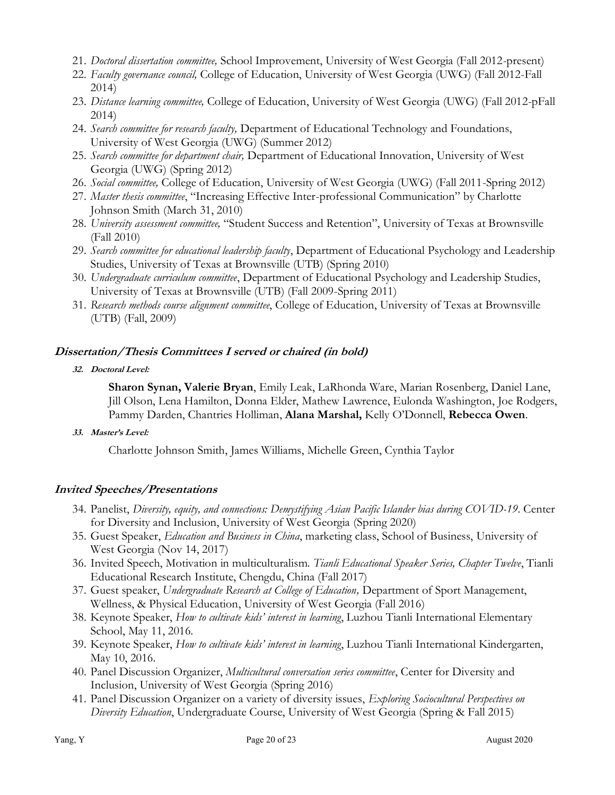- 21. *Doctoral dissertation committee,* School Improvement, University of West Georgia (Fall 2012-present)
- 22. *Faculty governance council,* College of Education, University of West Georgia (UWG) (Fall 2012-Fall 2014)
- 23. *Distance learning committee,* College of Education, University of West Georgia (UWG) (Fall 2012-pFall 2014)
- 24. *Search committee for research faculty,* Department of Educational Technology and Foundations, University of West Georgia (UWG) (Summer 2012)
- 25. *Search committee for department chair,* Department of Educational Innovation, University of West Georgia (UWG) (Spring 2012)
- 26. *Social committee,* College of Education, University of West Georgia (UWG) (Fall 2011-Spring 2012)
- 27. *Master thesis committee*, "Increasing Effective Inter-professional Communication" by Charlotte Johnson Smith (March 31, 2010)
- 28. *University assessment committee,* "Student Success and Retention", University of Texas at Brownsville (Fall 2010)
- 29. *Search committee for educational leadership faculty*, Department of Educational Psychology and Leadership Studies, University of Texas at Brownsville (UTB) (Spring 2010)
- 30. *Undergraduate curriculum committee*, Department of Educational Psychology and Leadership Studies, University of Texas at Brownsville (UTB) (Fall 2009-Spring 2011)
- 31. *Research methods course alignment committee*, College of Education, University of Texas at Brownsville (UTB) (Fall, 2009)

# **Dissertation/Thesis Committees I served or chaired (in bold)**

**32. Doctoral Level:**

**Sharon Synan, Valerie Bryan**, Emily Leak, LaRhonda Ware, Marian Rosenberg, Daniel Lane, Jill Olson, Lena Hamilton, Donna Elder, Mathew Lawrence, Eulonda Washington, Joe Rodgers, Pammy Darden, Chantries Holliman, **Alana Marshal,** Kelly O'Donnell, **Rebecca Owen**.

**33. Master's Level:**

Charlotte Johnson Smith, James Williams, Michelle Green, Cynthia Taylor

# **Invited Speeches/Presentations**

- 34. Panelist, *Diversity, equity, and connections: Demystifying Asian Pacific Islander bias during COVID-19*. Center for Diversity and Inclusion, University of West Georgia (Spring 2020)
- 35. Guest Speaker, *Education and Business in China*, marketing class, School of Business, University of West Georgia (Nov 14, 2017)
- 36. Invited Speech, Motivation in multiculturalism. *Tianli Educational Speaker Series, Chapter Twelve*, Tianli Educational Research Institute, Chengdu, China (Fall 2017)
- 37. Guest speaker, *Undergraduate Research at College of Education,* Department of Sport Management, Wellness, & Physical Education, University of West Georgia (Fall 2016)
- 38. Keynote Speaker, *How to cultivate kids' interest in learning*, Luzhou Tianli International Elementary School, May 11, 2016.
- 39. Keynote Speaker, *How to cultivate kids' interest in learning*, Luzhou Tianli International Kindergarten, May 10, 2016.
- 40. Panel Discussion Organizer, *Multicultural conversation series committee*, Center for Diversity and Inclusion, University of West Georgia (Spring 2016)
- 41. Panel Discussion Organizer on a variety of diversity issues, *Exploring Sociocultural Perspectives on Diversity Education*, Undergraduate Course, University of West Georgia (Spring & Fall 2015)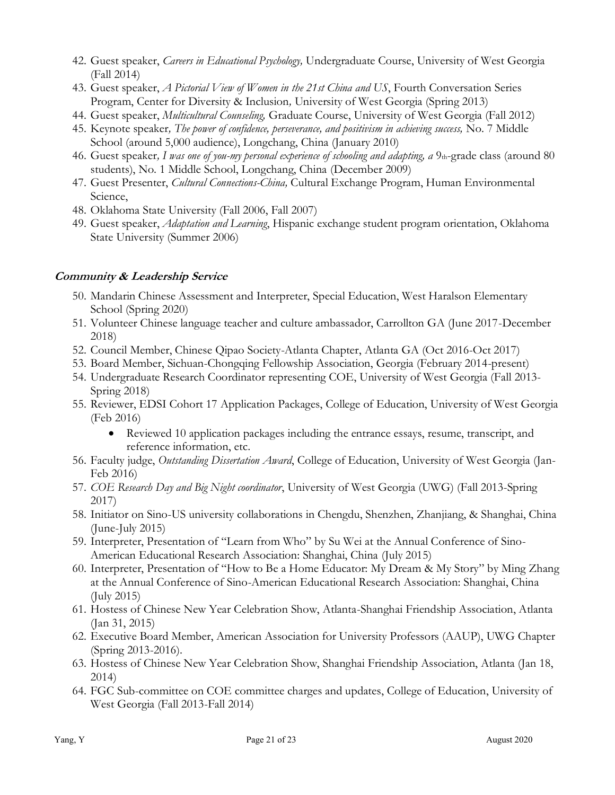- 42. Guest speaker, *Careers in Educational Psychology,* Undergraduate Course, University of West Georgia (Fall 2014)
- 43. Guest speaker, *A Pictorial View of Women in the 21st China and US*, Fourth Conversation Series Program, Center for Diversity & Inclusion*,* University of West Georgia (Spring 2013)
- 44. Guest speaker, *Multicultural Counseling,* Graduate Course, University of West Georgia (Fall 2012)
- 45. Keynote speaker*, The power of confidence, perseverance, and positivism in achieving success,* No. 7 Middle School (around 5,000 audience), Longchang, China (January 2010)
- 46. Guest speaker*, I was one of you-my personal experience of schooling and adapting, a* 9th-grade class (around 80 students), No. 1 Middle School, Longchang, China (December 2009)
- 47. Guest Presenter, *Cultural Connections-China,* Cultural Exchange Program, Human Environmental Science,
- 48. Oklahoma State University (Fall 2006, Fall 2007)
- 49. Guest speaker, *Adaptation and Learning*, Hispanic exchange student program orientation, Oklahoma State University (Summer 2006)

# **Community & Leadership Service**

- 50. Mandarin Chinese Assessment and Interpreter, Special Education, West Haralson Elementary School (Spring 2020)
- 51. Volunteer Chinese language teacher and culture ambassador, Carrollton GA (June 2017-December 2018)
- 52. Council Member, Chinese Qipao Society-Atlanta Chapter, Atlanta GA (Oct 2016-Oct 2017)
- 53. Board Member, Sichuan-Chongqing Fellowship Association, Georgia (February 2014-present)
- 54. Undergraduate Research Coordinator representing COE, University of West Georgia (Fall 2013- Spring 2018)
- 55. Reviewer, EDSI Cohort 17 Application Packages, College of Education, University of West Georgia (Feb 2016)
	- Reviewed 10 application packages including the entrance essays, resume, transcript, and reference information, etc.
- 56. Faculty judge, *Outstanding Dissertation Award*, College of Education, University of West Georgia (Jan-Feb 2016)
- 57. *COE Research Day and Big Night coordinator*, University of West Georgia (UWG) (Fall 2013-Spring 2017)
- 58. Initiator on Sino-US university collaborations in Chengdu, Shenzhen, Zhanjiang, & Shanghai, China (June-July 2015)
- 59. Interpreter, Presentation of "Learn from Who" by Su Wei at the Annual Conference of Sino-American Educational Research Association: Shanghai, China (July 2015)
- 60. Interpreter, Presentation of "How to Be a Home Educator: My Dream & My Story" by Ming Zhang at the Annual Conference of Sino-American Educational Research Association: Shanghai, China (July 2015)
- 61. Hostess of Chinese New Year Celebration Show, Atlanta-Shanghai Friendship Association, Atlanta (Jan 31, 2015)
- 62. Executive Board Member, American Association for University Professors (AAUP), UWG Chapter (Spring 2013-2016).
- 63. Hostess of Chinese New Year Celebration Show, Shanghai Friendship Association, Atlanta (Jan 18, 2014)
- 64. FGC Sub-committee on COE committee charges and updates, College of Education, University of West Georgia (Fall 2013-Fall 2014)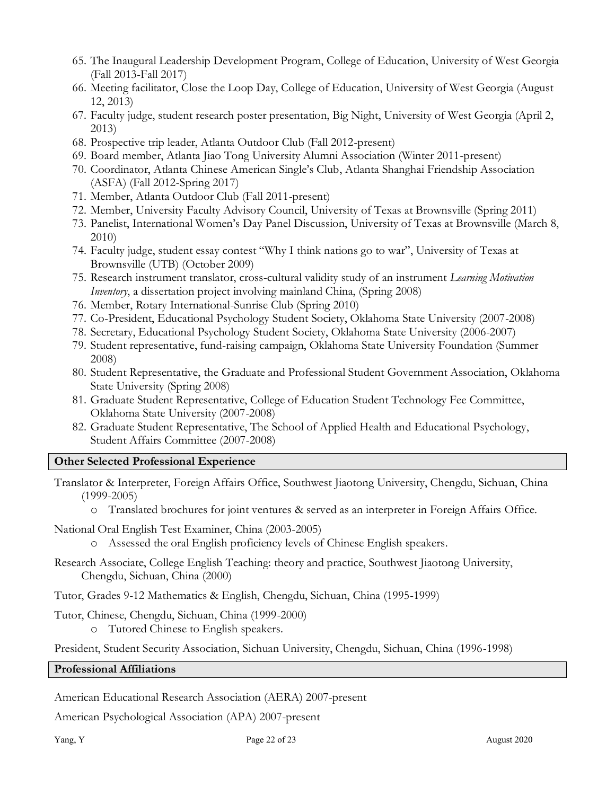- 65. The Inaugural Leadership Development Program, College of Education, University of West Georgia (Fall 2013-Fall 2017)
- 66. Meeting facilitator, Close the Loop Day, College of Education, University of West Georgia (August 12, 2013)
- 67. Faculty judge, student research poster presentation, Big Night, University of West Georgia (April 2, 2013)
- 68. Prospective trip leader, Atlanta Outdoor Club (Fall 2012-present)
- 69. Board member, Atlanta Jiao Tong University Alumni Association (Winter 2011-present)
- 70. Coordinator, Atlanta Chinese American Single's Club, Atlanta Shanghai Friendship Association (ASFA) (Fall 2012-Spring 2017)
- 71. Member, Atlanta Outdoor Club (Fall 2011-present)
- 72. Member, University Faculty Advisory Council, University of Texas at Brownsville (Spring 2011)
- 73. Panelist, International Women's Day Panel Discussion, University of Texas at Brownsville (March 8, 2010)
- 74. Faculty judge, student essay contest "Why I think nations go to war", University of Texas at Brownsville (UTB) (October 2009)
- 75. Research instrument translator, cross-cultural validity study of an instrument *Learning Motivation Inventory*, a dissertation project involving mainland China, (Spring 2008)
- 76. Member, Rotary International-Sunrise Club (Spring 2010)
- 77. Co-President, Educational Psychology Student Society, Oklahoma State University (2007-2008)
- 78. Secretary, Educational Psychology Student Society, Oklahoma State University (2006-2007)
- 79. Student representative, fund-raising campaign, Oklahoma State University Foundation (Summer 2008)
- 80. Student Representative, the Graduate and Professional Student Government Association, Oklahoma State University (Spring 2008)
- 81. Graduate Student Representative, College of Education Student Technology Fee Committee, Oklahoma State University (2007-2008)
- 82. Graduate Student Representative, The School of Applied Health and Educational Psychology, Student Affairs Committee (2007-2008)

### **Other Selected Professional Experience**

- Translator & Interpreter, Foreign Affairs Office, Southwest Jiaotong University, Chengdu, Sichuan, China (1999-2005)
	- o Translated brochures for joint ventures & served as an interpreter in Foreign Affairs Office.
- National Oral English Test Examiner, China (2003-2005)
	- o Assessed the oral English proficiency levels of Chinese English speakers.
- Research Associate, College English Teaching: theory and practice, Southwest Jiaotong University, Chengdu, Sichuan, China (2000)
- Tutor, Grades 9-12 Mathematics & English, Chengdu, Sichuan, China (1995-1999)
- Tutor, Chinese, Chengdu, Sichuan, China (1999-2000)
	- o Tutored Chinese to English speakers.

President, Student Security Association, Sichuan University, Chengdu, Sichuan, China (1996-1998)

### **Professional Affiliations**

American Educational Research Association (AERA) 2007-present

American Psychological Association (APA) 2007-present